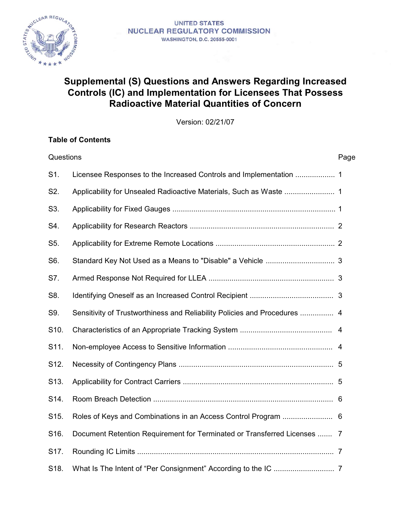

#### **UNITED STATES NUCLEAR REGULATORY COMMISSION** WASHINGTON, D.C. 20555-0001

# **Supplemental (S) Questions and Answers Regarding Increased Controls (IC) and Implementation for Licensees That Possess Radioactive Material Quantities of Concern**

Version: 02/21/07

# **Table of Contents**

| Questions |                                                                           | Page |
|-----------|---------------------------------------------------------------------------|------|
| S1.       |                                                                           |      |
| S2.       |                                                                           |      |
| S3.       |                                                                           |      |
| S4.       |                                                                           |      |
| S5.       |                                                                           |      |
| S6.       |                                                                           |      |
| S7.       |                                                                           |      |
| S8.       |                                                                           |      |
| S9.       | Sensitivity of Trustworthiness and Reliability Policies and Procedures  4 |      |
| S10.      |                                                                           |      |
| S11.      |                                                                           |      |
| S12.      |                                                                           |      |
| S13.      |                                                                           |      |
| S14.      |                                                                           |      |
| S15.      |                                                                           |      |
| S16.      | Document Retention Requirement for Terminated or Transferred Licenses  7  |      |
| S17.      |                                                                           |      |
| S18.      |                                                                           |      |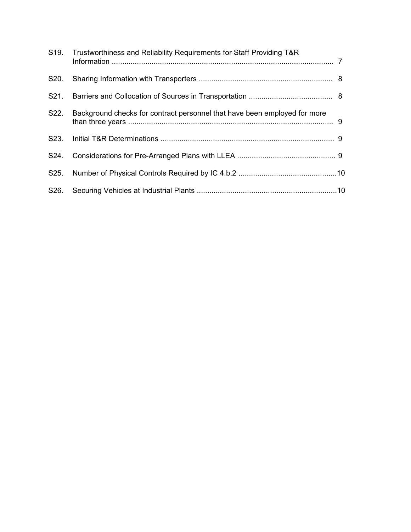|                   | S19. Trustworthiness and Reliability Requirements for Staff Providing T&R |  |
|-------------------|---------------------------------------------------------------------------|--|
| S <sub>20</sub> . |                                                                           |  |
|                   |                                                                           |  |
| S22.              | Background checks for contract personnel that have been employed for more |  |
|                   |                                                                           |  |
| S24.              |                                                                           |  |
|                   |                                                                           |  |
|                   |                                                                           |  |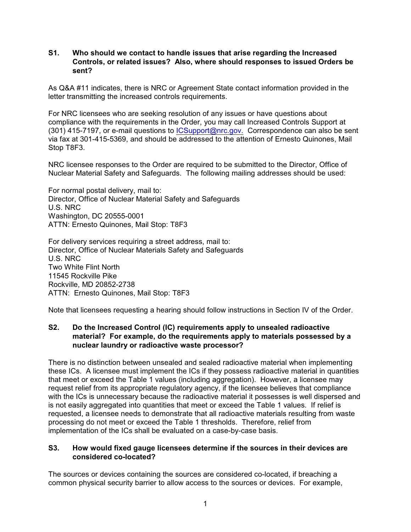#### **S1. Who should we contact to handle issues that arise regarding the Increased Controls, or related issues? Also, where should responses to issued Orders be sent?**

As Q&A #11 indicates, there is NRC or Agreement State contact information provided in the letter transmitting the increased controls requirements.

For NRC licensees who are seeking resolution of any issues or have questions about compliance with the requirements in the Order, you may call Increased Controls Support at (301) 415-7197, or e-mail questions to *ICSupport@nrc.gov.* Correspondence can also be sent via fax at 301-415-5369, and should be addressed to the attention of Ernesto Quinones, Mail Stop T8F3.

NRC licensee responses to the Order are required to be submitted to the Director, Office of Nuclear Material Safety and Safeguards. The following mailing addresses should be used:

For normal postal delivery, mail to: Director, Office of Nuclear Material Safety and Safeguards U.S. NRC Washington, DC 20555-0001 ATTN: Ernesto Quinones, Mail Stop: T8F3

For delivery services requiring a street address, mail to: Director, Office of Nuclear Materials Safety and Safeguards U.S. NRC Two White Flint North 11545 Rockville Pike Rockville, MD 20852-2738 ATTN: Ernesto Quinones, Mail Stop: T8F3

Note that licensees requesting a hearing should follow instructions in Section IV of the Order.

### **S2. Do the Increased Control (IC) requirements apply to unsealed radioactive material? For example, do the requirements apply to materials possessed by a nuclear laundry or radioactive waste processor?**

There is no distinction between unsealed and sealed radioactive material when implementing these ICs. A licensee must implement the ICs if they possess radioactive material in quantities that meet or exceed the Table 1 values (including aggregation). However, a licensee may request relief from its appropriate regulatory agency, if the licensee believes that compliance with the ICs is unnecessary because the radioactive material it possesses is well dispersed and is not easily aggregated into quantities that meet or exceed the Table 1 values. If relief is requested, a licensee needs to demonstrate that all radioactive materials resulting from waste processing do not meet or exceed the Table 1 thresholds. Therefore, relief from implementation of the ICs shall be evaluated on a case-by-case basis.

#### **S3. How would fixed gauge licensees determine if the sources in their devices are considered co-located?**

The sources or devices containing the sources are considered co-located, if breaching a common physical security barrier to allow access to the sources or devices. For example,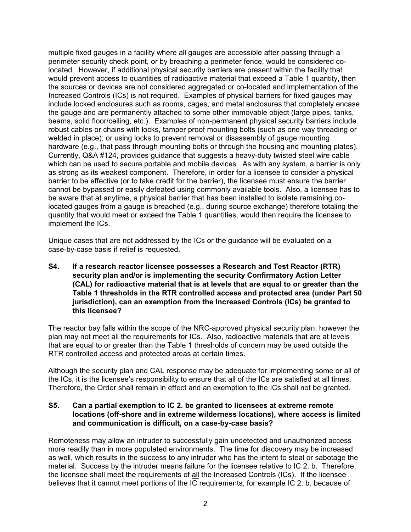multiple fixed gauges in a facility where all gauges are accessible after passing through a perimeter security check point, or by breaching a perimeter fence, would be considered colocated. However, if additional physical security barriers are present within the facility that would prevent access to quantities of radioactive material that exceed a Table 1 quantity, then the sources or devices are not considered aggregated or co-located and implementation of the Increased Controls (ICs) is not required. Examples of physical barriers for fixed gauges may include locked enclosures such as rooms, cages, and metal enclosures that completely encase the gauge and are permanently attached to some other immovable object (large pipes, tanks, beams, solid floor/ceiling, etc.). Examples of non-permanent physical security barriers include robust cables or chains with locks, tamper proof mounting bolts (such as one way threading or welded in place), or using locks to prevent removal or disassembly of gauge mounting hardware (e.g., that pass through mounting bolts or through the housing and mounting plates). Currently, Q&A #124, provides guidance that suggests a heavy-duty twisted steel wire cable which can be used to secure portable and mobile devices. As with any system, a barrier is only as strong as its weakest component. Therefore, in order for a licensee to consider a physical barrier to be effective (or to take credit for the barrier), the licensee must ensure the barrier cannot be bypassed or easily defeated using commonly available tools. Also, a licensee has to be aware that at anytime, a physical barrier that has been installed to isolate remaining colocated gauges from a gauge is breached (e.g., during source exchange) therefore totaling the quantity that would meet or exceed the Table 1 quantities, would then require the licensee to implement the ICs.

Unique cases that are not addressed by the ICs or the guidance will be evaluated on a case-by-case basis if relief is requested.

**S4. If a research reactor licensee possesses a Research and Test Reactor (RTR) security plan and/or is implementing the security Confirmatory Action Letter (CAL) for radioactive material that is at levels that are equal to or greater than the Table 1 thresholds in the RTR controlled access and protected area (under Part 50 jurisdiction), can an exemption from the Increased Controls (ICs) be granted to this licensee?** 

The reactor bay falls within the scope of the NRC-approved physical security plan, however the plan may not meet all the requirements for ICs. Also, radioactive materials that are at levels that are equal to or greater than the Table 1 thresholds of concern may be used outside the RTR controlled access and protected areas at certain times.

Although the security plan and CAL response may be adequate for implementing some or all of the ICs, it is the licensee's responsibility to ensure that all of the ICs are satisfied at all times. Therefore, the Order shall remain in effect and an exemption to the ICs shall not be granted.

#### **S5. Can a partial exemption to IC 2. be granted to licensees at extreme remote locations (off-shore and in extreme wilderness locations), where access is limited and communication is difficult, on a case-by-case basis?**

Remoteness may allow an intruder to successfully gain undetected and unauthorized access more readily than in more populated environments. The time for discovery may be increased as well, which results in the success to any intruder who has the intent to steal or sabotage the material. Success by the intruder means failure for the licensee relative to IC 2. b. Therefore, the licensee shall meet the requirements of all the Increased Controls (ICs). If the licensee believes that it cannot meet portions of the IC requirements, for example IC 2. b. because of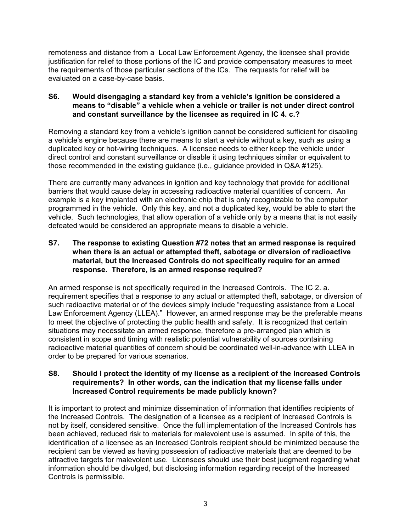remoteness and distance from a Local Law Enforcement Agency, the licensee shall provide justification for relief to those portions of the IC and provide compensatory measures to meet the requirements of those particular sections of the ICs. The requests for relief will be evaluated on a case-by-case basis.

# **S6. Would disengaging a standard key from a vehicle's ignition be considered a means to "disable" a vehicle when a vehicle or trailer is not under direct control and constant surveillance by the licensee as required in IC 4. c.?**

Removing a standard key from a vehicle's ignition cannot be considered sufficient for disabling a vehicle's engine because there are means to start a vehicle without a key, such as using a duplicated key or hot-wiring techniques. A licensee needs to either keep the vehicle under direct control and constant surveillance or disable it using techniques similar or equivalent to those recommended in the existing guidance (i.e., guidance provided in Q&A #125).

There are currently many advances in ignition and key technology that provide for additional barriers that would cause delay in accessing radioactive material quantities of concern. An example is a key implanted with an electronic chip that is only recognizable to the computer programmed in the vehicle. Only this key, and not a duplicated key, would be able to start the vehicle. Such technologies, that allow operation of a vehicle only by a means that is not easily defeated would be considered an appropriate means to disable a vehicle.

# **S7. The response to existing Question #72 notes that an armed response is required when there is an actual or attempted theft, sabotage or diversion of radioactive material, but the Increased Controls do not specifically require for an armed response. Therefore, is an armed response required?**

An armed response is not specifically required in the Increased Controls. The IC 2. a. requirement specifies that a response to any actual or attempted theft, sabotage, or diversion of such radioactive material or of the devices simply include "requesting assistance from a Local Law Enforcement Agency (LLEA)." However, an armed response may be the preferable means to meet the objective of protecting the public health and safety. It is recognized that certain situations may necessitate an armed response, therefore a pre-arranged plan which is consistent in scope and timing with realistic potential vulnerability of sources containing radioactive material quantities of concern should be coordinated well-in-advance with LLEA in order to be prepared for various scenarios.

### **S8. Should I protect the identity of my license as a recipient of the Increased Controls requirements? In other words, can the indication that my license falls under Increased Control requirements be made publicly known?**

It is important to protect and minimize dissemination of information that identifies recipients of the Increased Controls. The designation of a licensee as a recipient of Increased Controls is not by itself, considered sensitive. Once the full implementation of the Increased Controls has been achieved, reduced risk to materials for malevolent use is assumed. In spite of this, the identification of a licensee as an Increased Controls recipient should be minimized because the recipient can be viewed as having possession of radioactive materials that are deemed to be attractive targets for malevolent use. Licensees should use their best judgment regarding what information should be divulged, but disclosing information regarding receipt of the Increased Controls is permissible.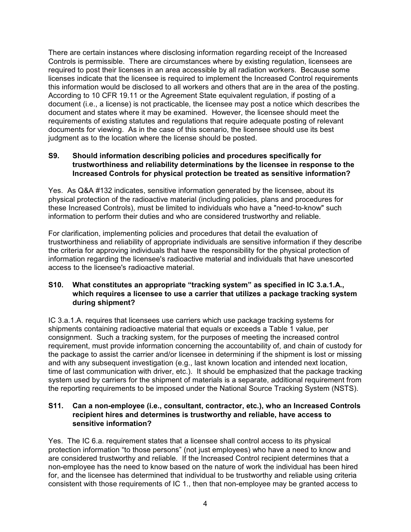There are certain instances where disclosing information regarding receipt of the Increased Controls is permissible. There are circumstances where by existing regulation, licensees are required to post their licenses in an area accessible by all radiation workers. Because some licenses indicate that the licensee is required to implement the Increased Control requirements this information would be disclosed to all workers and others that are in the area of the posting. According to 10 CFR 19.11 or the Agreement State equivalent regulation, if posting of a document (i.e., a license) is not practicable, the licensee may post a notice which describes the document and states where it may be examined. However, the licensee should meet the requirements of existing statutes and regulations that require adequate posting of relevant documents for viewing. As in the case of this scenario, the licensee should use its best judgment as to the location where the license should be posted.

# **S9. Should information describing policies and procedures specifically for trustworthiness and reliability determinations by the licensee in response to the Increased Controls for physical protection be treated as sensitive information?**

Yes. As Q&A #132 indicates, sensitive information generated by the licensee, about its physical protection of the radioactive material (including policies, plans and procedures for these Increased Controls), must be limited to individuals who have a "need-to-know" such information to perform their duties and who are considered trustworthy and reliable.

For clarification, implementing policies and procedures that detail the evaluation of trustworthiness and reliability of appropriate individuals are sensitive information if they describe the criteria for approving individuals that have the responsibility for the physical protection of information regarding the licensee's radioactive material and individuals that have unescorted access to the licensee's radioactive material.

# **S10. What constitutes an appropriate "tracking system" as specified in IC 3.a.1.A., which requires a licensee to use a carrier that utilizes a package tracking system during shipment?**

IC 3.a.1.A. requires that licensees use carriers which use package tracking systems for shipments containing radioactive material that equals or exceeds a Table 1 value, per consignment. Such a tracking system, for the purposes of meeting the increased control requirement, must provide information concerning the accountability of, and chain of custody for the package to assist the carrier and/or licensee in determining if the shipment is lost or missing and with any subsequent investigation (e.g., last known location and intended next location, time of last communication with driver, etc.). It should be emphasized that the package tracking system used by carriers for the shipment of materials is a separate, additional requirement from the reporting requirements to be imposed under the National Source Tracking System (NSTS).

#### **S11. Can a non-employee (i.e., consultant, contractor, etc.), who an Increased Controls recipient hires and determines is trustworthy and reliable, have access to sensitive information?**

Yes. The IC 6.a. requirement states that a licensee shall control access to its physical protection information "to those persons" (not just employees) who have a need to know and are considered trustworthy and reliable. If the Increased Control recipient determines that a non-employee has the need to know based on the nature of work the individual has been hired for, and the licensee has determined that individual to be trustworthy and reliable using criteria consistent with those requirements of IC 1., then that non-employee may be granted access to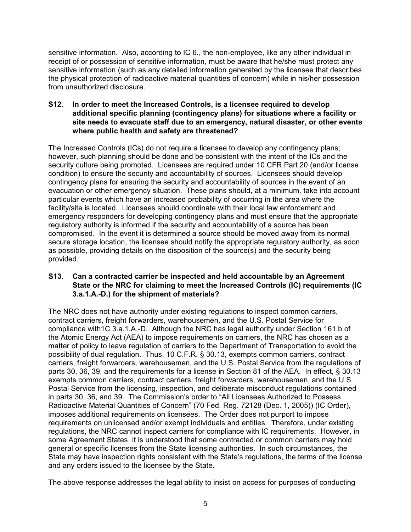sensitive information. Also, according to IC 6., the non-employee, like any other individual in receipt of or possession of sensitive information, must be aware that he/she must protect any sensitive information (such as any detailed information generated by the licensee that describes the physical protection of radioactive material quantities of concern) while in his/her possession from unauthorized disclosure.

### **S12. In order to meet the Increased Controls, is a licensee required to develop additional specific planning (contingency plans) for situations where a facility or site needs to evacuate staff due to an emergency, natural disaster, or other events where public health and safety are threatened?**

The Increased Controls (ICs) do not require a licensee to develop any contingency plans; however, such planning should be done and be consistent with the intent of the ICs and the security culture being promoted. Licensees are required under 10 CFR Part 20 (and/or license condition) to ensure the security and accountability of sources. Licensees should develop contingency plans for ensuring the security and accountability of sources in the event of an evacuation or other emergency situation. These plans should, at a minimum, take into account particular events which have an increased probability of occurring in the area where the facility/site is located. Licensees should coordinate with their local law enforcement and emergency responders for developing contingency plans and must ensure that the appropriate regulatory authority is informed if the security and accountability of a source has been compromised. In the event it is determined a source should be moved away from its normal secure storage location, the licensee should notify the appropriate regulatory authority, as soon as possible, providing details on the disposition of the source(s) and the security being provided.

# **S13. Can a contracted carrier be inspected and held accountable by an Agreement State or the NRC for claiming to meet the Increased Controls (IC) requirements (IC 3.a.1.A.-D.) for the shipment of materials?**

The NRC does not have authority under existing regulations to inspect common carriers, contract carriers, freight forwarders, warehousemen, and the U.S. Postal Service for compliance with1C 3.a.1.A.-D. Although the NRC has legal authority under Section 161.b of the Atomic Energy Act (AEA) to impose requirements on carriers, the NRC has chosen as a matter of policy to leave regulation of carriers to the Department of Transportation to avoid the possibility of dual regulation. Thus, 10 C.F.R. § 30.13, exempts common carriers, contract carriers, freight forwarders, warehousemen, and the U.S. Postal Service from the regulations of parts 30, 36, 39, and the requirements for a license in Section 81 of the AEA. In effect, § 30.13 exempts common carriers, contract carriers, freight forwarders, warehousemen, and the U.S. Postal Service from the licensing, inspection, and deliberate misconduct regulations contained in parts 30, 36, and 39. The Commission's order to "All Licensees Authorized to Possess Radioactive Material Quantities of Concern" (70 Fed. Reg. 72128 (Dec. 1, 2005)) (IC Order), imposes additional requirements on licensees. The Order does not purport to impose requirements on unlicensed and/or exempt individuals and entities. Therefore, under existing regulations, the NRC cannot inspect carriers for compliance with IC requirements. However, in some Agreement States, it is understood that some contracted or common carriers may hold general or specific licenses from the State licensing authorities. In such circumstances, the State may have inspection rights consistent with the State's regulations, the terms of the license and any orders issued to the licensee by the State.

The above response addresses the legal ability to insist on access for purposes of conducting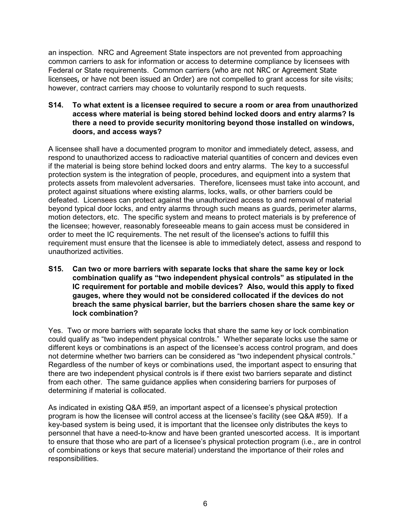an inspection. NRC and Agreement State inspectors are not prevented from approaching common carriers to ask for information or access to determine compliance by licensees with Federal or State requirements. Common carriers (who are not NRC or Agreement State licensees, or have not been issued an Order) are not compelled to grant access for site visits; however, contract carriers may choose to voluntarily respond to such requests.

**S14. To what extent is a licensee required to secure a room or area from unauthorized access where material is being stored behind locked doors and entry alarms? Is there a need to provide security monitoring beyond those installed on windows, doors, and access ways?**

A licensee shall have a documented program to monitor and immediately detect, assess, and respond to unauthorized access to radioactive material quantities of concern and devices even if the material is being store behind locked doors and entry alarms. The key to a successful protection system is the integration of people, procedures, and equipment into a system that protects assets from malevolent adversaries. Therefore, licensees must take into account, and protect against situations where existing alarms, locks, walls, or other barriers could be defeated. Licensees can protect against the unauthorized access to and removal of material beyond typical door locks, and entry alarms through such means as guards, perimeter alarms, motion detectors, etc. The specific system and means to protect materials is by preference of the licensee; however, reasonably foreseeable means to gain access must be considered in order to meet the IC requirements. The net result of the licensee's actions to fulfill this requirement must ensure that the licensee is able to immediately detect, assess and respond to unauthorized activities.

**S15. Can two or more barriers with separate locks that share the same key or lock combination qualify as "two independent physical controls" as stipulated in the IC requirement for portable and mobile devices? Also, would this apply to fixed gauges, where they would not be considered collocated if the devices do not breach the same physical barrier, but the barriers chosen share the same key or lock combination?**

Yes. Two or more barriers with separate locks that share the same key or lock combination could qualify as "two independent physical controls." Whether separate locks use the same or different keys or combinations is an aspect of the licensee's access control program, and does not determine whether two barriers can be considered as "two independent physical controls." Regardless of the number of keys or combinations used, the important aspect to ensuring that there are two independent physical controls is if there exist two barriers separate and distinct from each other. The same guidance applies when considering barriers for purposes of determining if material is collocated.

As indicated in existing Q&A #59, an important aspect of a licensee's physical protection program is how the licensee will control access at the licensee's facility (see Q&A #59). If a key-based system is being used, it is important that the licensee only distributes the keys to personnel that have a need-to-know and have been granted unescorted access. It is important to ensure that those who are part of a licensee's physical protection program (i.e., are in control of combinations or keys that secure material) understand the importance of their roles and responsibilities.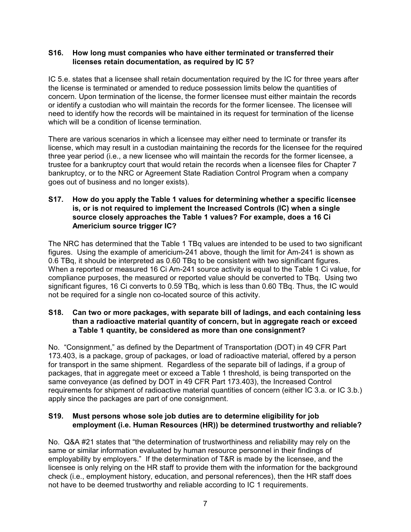#### **S16. How long must companies who have either terminated or transferred their licenses retain documentation, as required by IC 5?**

IC 5.e. states that a licensee shall retain documentation required by the IC for three years after the license is terminated or amended to reduce possession limits below the quantities of concern. Upon termination of the license, the former licensee must either maintain the records or identify a custodian who will maintain the records for the former licensee. The licensee will need to identify how the records will be maintained in its request for termination of the license which will be a condition of license termination.

There are various scenarios in which a licensee may either need to terminate or transfer its license, which may result in a custodian maintaining the records for the licensee for the required three year period (i.e., a new licensee who will maintain the records for the former licensee, a trustee for a bankruptcy court that would retain the records when a licensee files for Chapter 7 bankruptcy, or to the NRC or Agreement State Radiation Control Program when a company goes out of business and no longer exists).

# **S17. How do you apply the Table 1 values for determining whether a specific licensee is, or is not required to implement the Increased Controls (IC) when a single source closely approaches the Table 1 values? For example, does a 16 Ci Americium source trigger IC?**

The NRC has determined that the Table 1 TBq values are intended to be used to two significant figures. Using the example of americium-241 above, though the limit for Am-241 is shown as 0.6 TBq, it should be interpreted as 0.60 TBq to be consistent with two significant figures. When a reported or measured 16 Ci Am-241 source activity is equal to the Table 1 Ci value, for compliance purposes, the measured or reported value should be converted to TBq. Using two significant figures, 16 Ci converts to 0.59 TBq, which is less than 0.60 TBq. Thus, the IC would not be required for a single non co-located source of this activity.

# **S18. Can two or more packages, with separate bill of ladings, and each containing less than a radioactive material quantity of concern, but in aggregate reach or exceed a Table 1 quantity, be considered as more than one consignment?**

No. "Consignment," as defined by the Department of Transportation (DOT) in 49 CFR Part 173.403, is a package, group of packages, or load of radioactive material, offered by a person for transport in the same shipment. Regardless of the separate bill of ladings, if a group of packages, that in aggregate meet or exceed a Table 1 threshold, is being transported on the same conveyance (as defined by DOT in 49 CFR Part 173.403), the Increased Control requirements for shipment of radioactive material quantities of concern (either IC 3.a. or IC 3.b.) apply since the packages are part of one consignment.

### **S19. Must persons whose sole job duties are to determine eligibility for job employment (i.e. Human Resources (HR)) be determined trustworthy and reliable?**

No. Q&A #21 states that "the determination of trustworthiness and reliability may rely on the same or similar information evaluated by human resource personnel in their findings of employability by employers." If the determination of T&R is made by the licensee, and the licensee is only relying on the HR staff to provide them with the information for the background check (i.e., employment history, education, and personal references), then the HR staff does not have to be deemed trustworthy and reliable according to IC 1 requirements.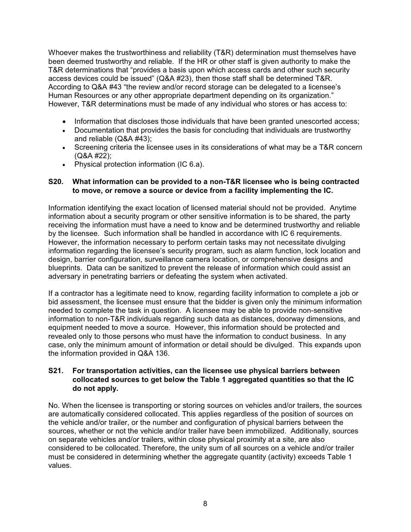Whoever makes the trustworthiness and reliability (T&R) determination must themselves have been deemed trustworthy and reliable. If the HR or other staff is given authority to make the T&R determinations that "provides a basis upon which access cards and other such security access devices could be issued" (Q&A #23), then those staff shall be determined T&R. According to Q&A #43 "the review and/or record storage can be delegated to a licensee's Human Resources or any other appropriate department depending on its organization." However, T&R determinations must be made of any individual who stores or has access to:

Information that discloses those individuals that have been granted unescorted access; Documentation that provides the basis for concluding that individuals are trustworthy and reliable (Q&A #43);

Screening criteria the licensee uses in its considerations of what may be a T&R concern (Q&A #22);

Physical protection information (IC 6.a).

#### **S20. What information can be provided to a non-T&R licensee who is being contracted to move, or remove a source or device from a facility implementing the IC.**

Information identifying the exact location of licensed material should not be provided. Anytime information about a security program or other sensitive information is to be shared, the party receiving the information must have a need to know and be determined trustworthy and reliable by the licensee. Such information shall be handled in accordance with IC 6 requirements. However, the information necessary to perform certain tasks may not necessitate divulging information regarding the licensee's security program, such as alarm function, lock location and design, barrier configuration, surveillance camera location, or comprehensive designs and blueprints. Data can be sanitized to prevent the release of information which could assist an adversary in penetrating barriers or defeating the system when activated.

If a contractor has a legitimate need to know, regarding facility information to complete a job or bid assessment, the licensee must ensure that the bidder is given only the minimum information needed to complete the task in question. A licensee may be able to provide non-sensitive information to non-T&R individuals regarding such data as distances, doorway dimensions, and equipment needed to move a source. However, this information should be protected and revealed only to those persons who must have the information to conduct business. In any case, only the minimum amount of information or detail should be divulged. This expands upon the information provided in Q&A 136.

### **S21. For transportation activities, can the licensee use physical barriers between collocated sources to get below the Table 1 aggregated quantities so that the IC do not apply.**

No. When the licensee is transporting or storing sources on vehicles and/or trailers, the sources are automatically considered collocated. This applies regardless of the position of sources on the vehicle and/or trailer, or the number and configuration of physical barriers between the sources, whether or not the vehicle and/or trailer have been immobilized. Additionally, sources on separate vehicles and/or trailers, within close physical proximity at a site, are also considered to be collocated. Therefore, the unity sum of all sources on a vehicle and/or trailer must be considered in determining whether the aggregate quantity (activity) exceeds Table 1 values.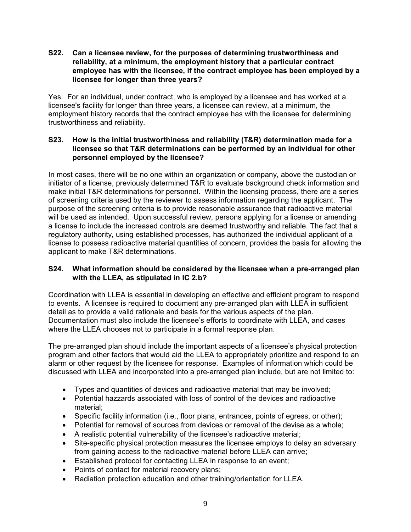#### **S22. Can a licensee review, for the purposes of determining trustworthiness and reliability, at a minimum, the employment history that a particular contract employee has with the licensee, if the contract employee has been employed by a licensee for longer than three years?**

Yes. For an individual, under contract, who is employed by a licensee and has worked at a licensee's facility for longer than three years, a licensee can review, at a minimum, the employment history records that the contract employee has with the licensee for determining trustworthiness and reliability.

# **S23. How is the initial trustworthiness and reliability (T&R) determination made for a licensee so that T&R determinations can be performed by an individual for other personnel employed by the licensee?**

In most cases, there will be no one within an organization or company, above the custodian or initiator of a license, previously determined T&R to evaluate background check information and make initial T&R determinations for personnel. Within the licensing process, there are a series of screening criteria used by the reviewer to assess information regarding the applicant. The purpose of the screening criteria is to provide reasonable assurance that radioactive material will be used as intended. Upon successful review, persons applying for a license or amending a license to include the increased controls are deemed trustworthy and reliable. The fact that a regulatory authority, using established processes, has authorized the individual applicant of a license to possess radioactive material quantities of concern, provides the basis for allowing the applicant to make T&R determinations.

### **S24. What information should be considered by the licensee when a pre-arranged plan with the LLEA, as stipulated in IC 2.b?**

Coordination with LLEA is essential in developing an effective and efficient program to respond to events. A licensee is required to document any pre-arranged plan with LLEA in sufficient detail as to provide a valid rationale and basis for the various aspects of the plan. Documentation must also include the licensee's efforts to coordinate with LLEA, and cases where the LLEA chooses not to participate in a formal response plan.

The pre-arranged plan should include the important aspects of a licensee's physical protection program and other factors that would aid the LLEA to appropriately prioritize and respond to an alarm or other request by the licensee for response. Examples of information which could be discussed with LLEA and incorporated into a pre-arranged plan include, but are not limited to:

Types and quantities of devices and radioactive material that may be involved; Potential hazzards associated with loss of control of the devices and radioactive material;

Specific facility information (i.e., floor plans, entrances, points of egress, or other); Potential for removal of sources from devices or removal of the devise as a whole; A realistic potential vulnerability of the licensee's radioactive material;

Site-specific physical protection measures the licensee employs to delay an adversary from gaining access to the radioactive material before LLEA can arrive;

Established protocol for contacting LLEA in response to an event;

Points of contact for material recovery plans;

Radiation protection education and other training/orientation for LLEA.